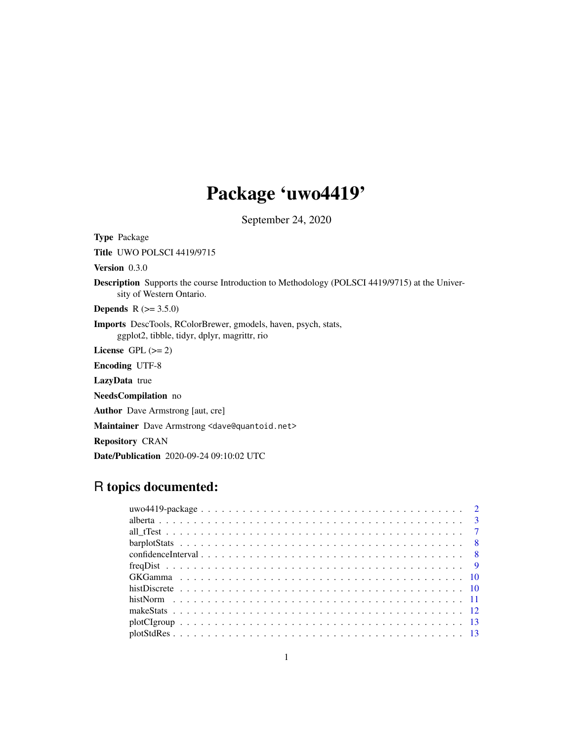# Package 'uwo4419'

September 24, 2020

<span id="page-0-0"></span>Type Package Title UWO POLSCI 4419/9715 Version 0.3.0 Description Supports the course Introduction to Methodology (POLSCI 4419/9715) at the University of Western Ontario. **Depends**  $R (= 3.5.0)$ Imports DescTools, RColorBrewer, gmodels, haven, psych, stats, ggplot2, tibble, tidyr, dplyr, magrittr, rio License GPL  $(>= 2)$ Encoding UTF-8 LazyData true NeedsCompilation no Author Dave Armstrong [aut, cre] Maintainer Dave Armstrong <dave@quantoid.net> Repository CRAN Date/Publication 2020-09-24 09:10:02 UTC

# R topics documented: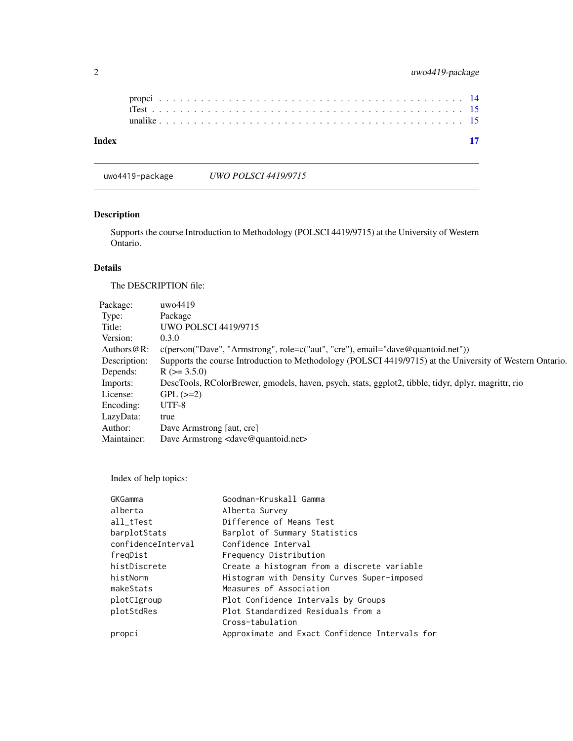uwo4419-package *UWO POLSCI 4419/9715*

# Description

Supports the course Introduction to Methodology (POLSCI 4419/9715) at the University of Western Ontario.

# Details

The DESCRIPTION file:

| uwo4419                                                                                                  |
|----------------------------------------------------------------------------------------------------------|
| Package                                                                                                  |
| <b>UWO POLSCI 4419/9715</b>                                                                              |
| 0.3.0                                                                                                    |
| $c(\text{person("Dave", "Armstrong", role=c("aut", "cre"), email="dave@quantoid.net"))$                  |
| Supports the course Introduction to Methodology (POLSCI 4419/9715) at the University of Western Ontario. |
| $R$ ( $> = 3.5.0$ )                                                                                      |
| DescTools, RColorBrewer, gmodels, haven, psych, stats, ggplot2, tibble, tidyr, dplyr, magrittr, rio      |
| $GPL (=2)$                                                                                               |
| $UTF-8$                                                                                                  |
| true                                                                                                     |
| Dave Armstrong [aut, cre]                                                                                |
| Dave Armstrong <dave@quantoid.net></dave@quantoid.net>                                                   |
|                                                                                                          |

Index of help topics:

| GKGamma            | Goodman-Kruskall Gamma                         |
|--------------------|------------------------------------------------|
| alberta            | Alberta Survey                                 |
| all_tTest          | Difference of Means Test                       |
| barplotStats       | Barplot of Summary Statistics                  |
| confidenceInterval | Confidence Interval                            |
| freqDist           | Frequency Distribution                         |
| histDiscrete       | Create a histogram from a discrete variable    |
| histNorm           | Histogram with Density Curves Super-imposed    |
| makeStats          | Measures of Association                        |
| plotCIgroup        | Plot Confidence Intervals by Groups            |
| plotStdRes         | Plot Standardized Residuals from a             |
|                    | Cross-tabulation                               |
| propci             | Approximate and Exact Confidence Intervals for |
|                    |                                                |

<span id="page-1-0"></span>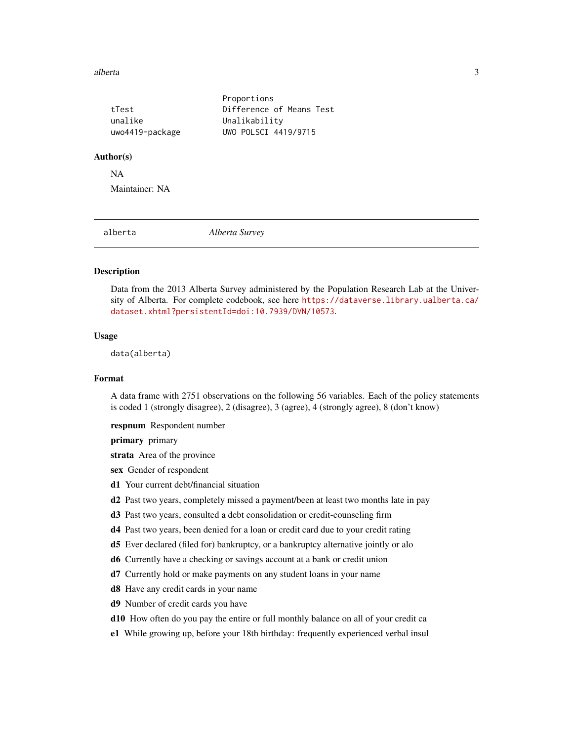#### <span id="page-2-0"></span>alberta 3

|                 | Proportions              |
|-----------------|--------------------------|
| tTest           | Difference of Means Test |
| unalike         | Unalikability            |
| uwo4419-package | UWO POLSCI 4419/9715     |

#### Author(s)

NA

Maintainer: NA

alberta *Alberta Survey*

# **Description**

Data from the 2013 Alberta Survey administered by the Population Research Lab at the University of Alberta. For complete codebook, see here [https://dataverse.library.ualberta.ca/](https://dataverse.library.ualberta.ca/dataset.xhtml?persistentId=doi:10.7939/DVN/10573) [dataset.xhtml?persistentId=doi:10.7939/DVN/10573](https://dataverse.library.ualberta.ca/dataset.xhtml?persistentId=doi:10.7939/DVN/10573).

# Usage

data(alberta)

# Format

A data frame with 2751 observations on the following 56 variables. Each of the policy statements is coded 1 (strongly disagree), 2 (disagree), 3 (agree), 4 (strongly agree), 8 (don't know)

respnum Respondent number

primary primary

strata Area of the province

- sex Gender of respondent
- d1 Your current debt/financial situation
- d2 Past two years, completely missed a payment/been at least two months late in pay
- d3 Past two years, consulted a debt consolidation or credit-counseling firm
- d4 Past two years, been denied for a loan or credit card due to your credit rating
- d5 Ever declared (filed for) bankruptcy, or a bankruptcy alternative jointly or alo
- d6 Currently have a checking or savings account at a bank or credit union
- d7 Currently hold or make payments on any student loans in your name
- d8 Have any credit cards in your name
- d9 Number of credit cards you have
- d10 How often do you pay the entire or full monthly balance on all of your credit ca
- e1 While growing up, before your 18th birthday: frequently experienced verbal insul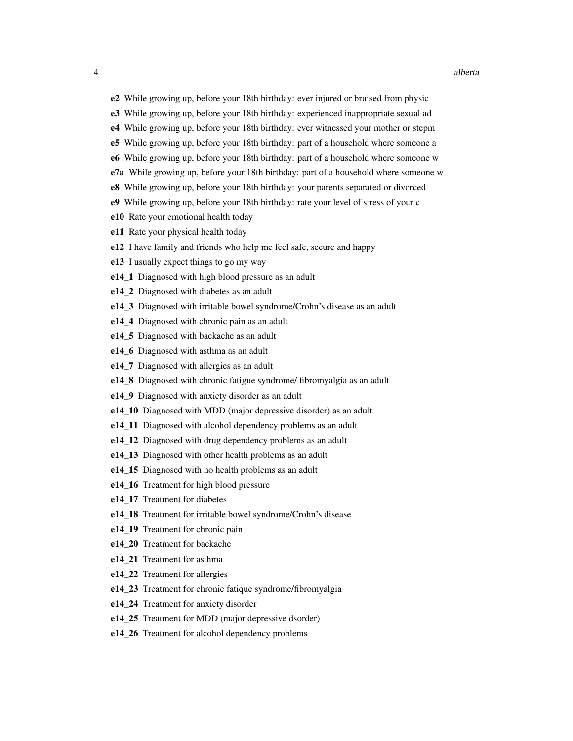- e2 While growing up, before your 18th birthday: ever injured or bruised from physic
- e3 While growing up, before your 18th birthday: experienced inappropriate sexual ad
- e4 While growing up, before your 18th birthday: ever witnessed your mother or stepm
- e5 While growing up, before your 18th birthday: part of a household where someone a
- e6 While growing up, before your 18th birthday: part of a household where someone w
- e7a While growing up, before your 18th birthday: part of a household where someone w
- e8 While growing up, before your 18th birthday: your parents separated or divorced
- e9 While growing up, before your 18th birthday: rate your level of stress of your c
- e10 Rate your emotional health today
- e11 Rate your physical health today
- e12 I have family and friends who help me feel safe, secure and happy
- e13 I usually expect things to go my way
- e14\_1 Diagnosed with high blood pressure as an adult
- e14 2 Diagnosed with diabetes as an adult
- e14.3 Diagnosed with irritable bowel syndrome/Crohn's disease as an adult
- e14 4 Diagnosed with chronic pain as an adult
- e14 5 Diagnosed with backache as an adult
- e14\_6 Diagnosed with asthma as an adult
- e14\_7 Diagnosed with allergies as an adult
- e14\_8 Diagnosed with chronic fatigue syndrome/ fibromyalgia as an adult
- e14\_9 Diagnosed with anxiety disorder as an adult
- e14\_10 Diagnosed with MDD (major depressive disorder) as an adult
- e14\_11 Diagnosed with alcohol dependency problems as an adult
- e14\_12 Diagnosed with drug dependency problems as an adult
- e14\_13 Diagnosed with other health problems as an adult
- e14 15 Diagnosed with no health problems as an adult
- e14 16 Treatment for high blood pressure
- e14\_17 Treatment for diabetes
- e14\_18 Treatment for irritable bowel syndrome/Crohn's disease
- e14\_19 Treatment for chronic pain
- e14 20 Treatment for backache
- e14 21 Treatment for asthma
- e14\_22 Treatment for allergies
- e14\_23 Treatment for chronic fatique syndrome/fibromyalgia
- e14\_24 Treatment for anxiety disorder
- e14 25 Treatment for MDD (major depressive dsorder)
- e14\_26 Treatment for alcohol dependency problems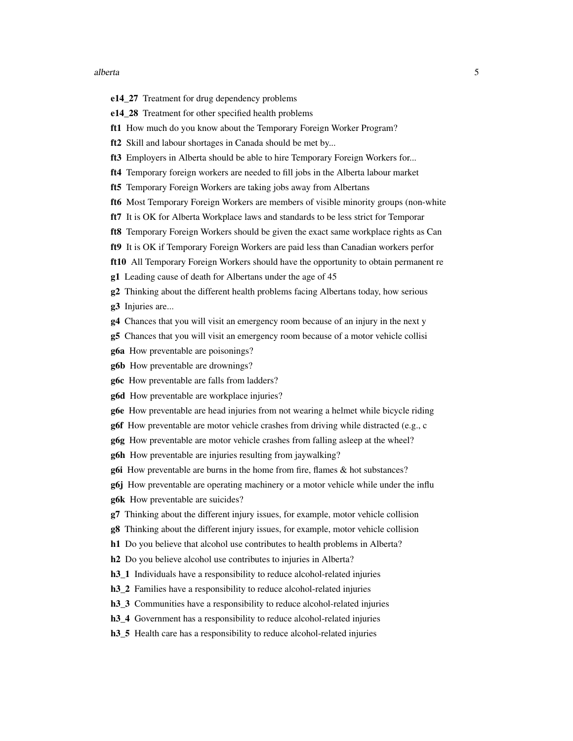#### alberta  $\sim$  5

- e14\_27 Treatment for drug dependency problems
- e14\_28 Treatment for other specified health problems
- ft1 How much do you know about the Temporary Foreign Worker Program?
- ft2 Skill and labour shortages in Canada should be met by...
- ft3 Employers in Alberta should be able to hire Temporary Foreign Workers for...
- ft4 Temporary foreign workers are needed to fill jobs in the Alberta labour market
- ft5 Temporary Foreign Workers are taking jobs away from Albertans
- ft6 Most Temporary Foreign Workers are members of visible minority groups (non-white
- ft7 It is OK for Alberta Workplace laws and standards to be less strict for Temporar
- ft8 Temporary Foreign Workers should be given the exact same workplace rights as Can
- ft9 It is OK if Temporary Foreign Workers are paid less than Canadian workers perfor
- ft10 All Temporary Foreign Workers should have the opportunity to obtain permanent re
- g1 Leading cause of death for Albertans under the age of 45
- g2 Thinking about the different health problems facing Albertans today, how serious g3 Injuries are...
- g4 Chances that you will visit an emergency room because of an injury in the next y
- g5 Chances that you will visit an emergency room because of a motor vehicle collisi
- g6a How preventable are poisonings?
- g6b How preventable are drownings?
- g6c How preventable are falls from ladders?
- g6d How preventable are workplace injuries?
- g6e How preventable are head injuries from not wearing a helmet while bicycle riding
- g6f How preventable are motor vehicle crashes from driving while distracted (e.g., c
- g6g How preventable are motor vehicle crashes from falling asleep at the wheel?
- g6h How preventable are injuries resulting from jaywalking?
- g6i How preventable are burns in the home from fire, flames & hot substances?
- g6j How preventable are operating machinery or a motor vehicle while under the influ
- g6k How preventable are suicides?
- g7 Thinking about the different injury issues, for example, motor vehicle collision
- g8 Thinking about the different injury issues, for example, motor vehicle collision
- h1 Do you believe that alcohol use contributes to health problems in Alberta?
- h<sub>2</sub> Do you believe alcohol use contributes to injuries in Alberta?
- h3\_1 Individuals have a responsibility to reduce alcohol-related injuries
- h3\_2 Families have a responsibility to reduce alcohol-related injuries
- h3\_3 Communities have a responsibility to reduce alcohol-related injuries
- h<sub>3</sub> 4 Government has a responsibility to reduce alcohol-related injuries
- h3\_5 Health care has a responsibility to reduce alcohol-related injuries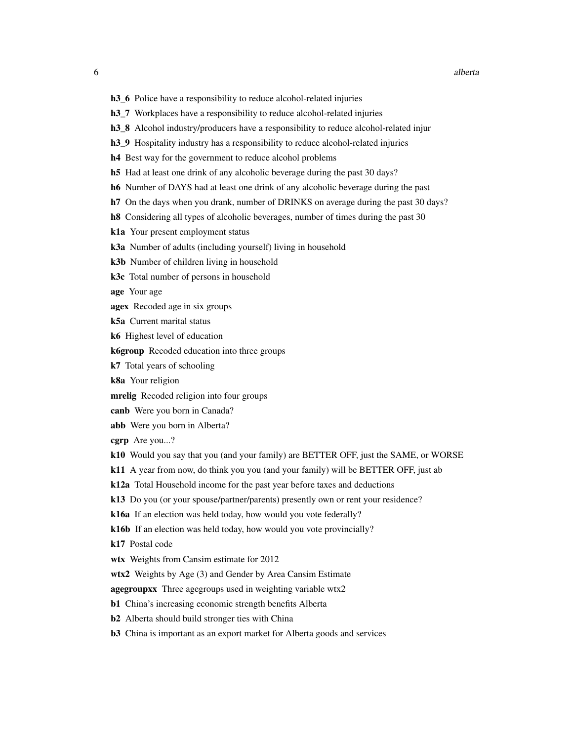- 
- h3\_6 Police have a responsibility to reduce alcohol-related injuries
- h3\_7 Workplaces have a responsibility to reduce alcohol-related injuries
- h3 8 Alcohol industry/producers have a responsibility to reduce alcohol-related injur
- h3\_9 Hospitality industry has a responsibility to reduce alcohol-related injuries
- h4 Best way for the government to reduce alcohol problems
- h5 Had at least one drink of any alcoholic beverage during the past 30 days?
- h6 Number of DAYS had at least one drink of any alcoholic beverage during the past
- h<sup>7</sup> On the days when you drank, number of DRINKS on average during the past 30 days?
- h8 Considering all types of alcoholic beverages, number of times during the past 30
- k1a Your present employment status
- k3a Number of adults (including yourself) living in household
- k3b Number of children living in household
- k3c Total number of persons in household

age Your age

- agex Recoded age in six groups
- k5a Current marital status
- k6 Highest level of education
- k6group Recoded education into three groups
- k7 Total years of schooling
- k8a Your religion
- mrelig Recoded religion into four groups
- canb Were you born in Canada?
- abb Were you born in Alberta?

cgrp Are you...?

- k10 Would you say that you (and your family) are BETTER OFF, just the SAME, or WORSE
- k11 A year from now, do think you you (and your family) will be BETTER OFF, just ab
- k12a Total Household income for the past year before taxes and deductions
- k13 Do you (or your spouse/partner/parents) presently own or rent your residence?
- k16a If an election was held today, how would you vote federally?
- k16b If an election was held today, how would you vote provincially?
- k17 Postal code
- wtx Weights from Cansim estimate for 2012
- wtx2 Weights by Age (3) and Gender by Area Cansim Estimate
- agegroupxx Three agegroups used in weighting variable wtx2
- b1 China's increasing economic strength benefits Alberta
- b2 Alberta should build stronger ties with China
- b3 China is important as an export market for Alberta goods and services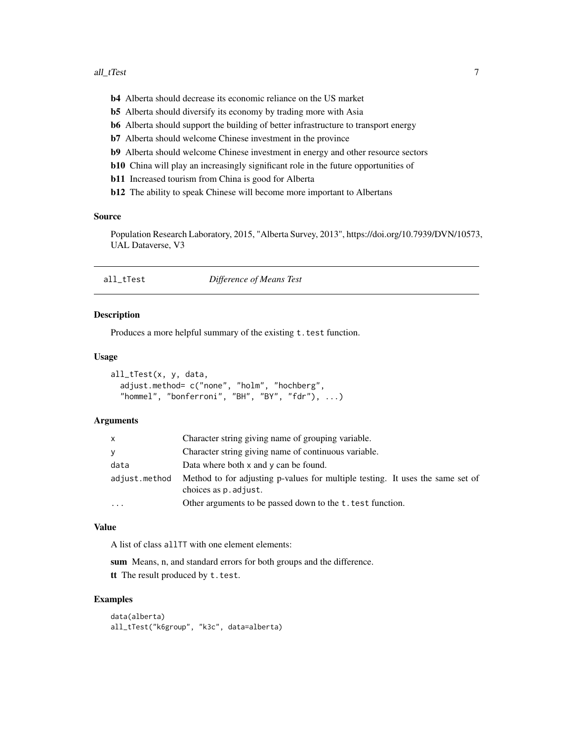- <span id="page-6-0"></span>b4 Alberta should decrease its economic reliance on the US market
- b5 Alberta should diversify its economy by trading more with Asia
- b6 Alberta should support the building of better infrastructure to transport energy
- b7 Alberta should welcome Chinese investment in the province
- b9 Alberta should welcome Chinese investment in energy and other resource sectors
- b10 China will play an increasingly significant role in the future opportunities of
- b11 Increased tourism from China is good for Alberta
- b12 The ability to speak Chinese will become more important to Albertans

#### Source

Population Research Laboratory, 2015, "Alberta Survey, 2013", https://doi.org/10.7939/DVN/10573, UAL Dataverse, V3

| all_tTest | Difference of Means Test |
|-----------|--------------------------|
|-----------|--------------------------|

# Description

Produces a more helpful summary of the existing  $t$ . test function.

# Usage

```
all_tTest(x, y, data,
  adjust.method= c("none", "holm", "hochberg",
  "hommel", "bonferroni", "BH", "BY", "fdr"), \dots)
```
#### Arguments

| X.            | Character string giving name of grouping variable.                                                      |
|---------------|---------------------------------------------------------------------------------------------------------|
| V             | Character string giving name of continuous variable.                                                    |
| data          | Data where both $x$ and $y$ can be found.                                                               |
| adjust.method | Method to for adjusting p-values for multiple testing. It uses the same set of<br>choices as p. adjust. |
| .             | Other arguments to be passed down to the t. test function.                                              |

#### Value

A list of class allTT with one element elements:

sum Means, n, and standard errors for both groups and the difference.

tt The result produced by t.test.

```
data(alberta)
all_tTest("k6group", "k3c", data=alberta)
```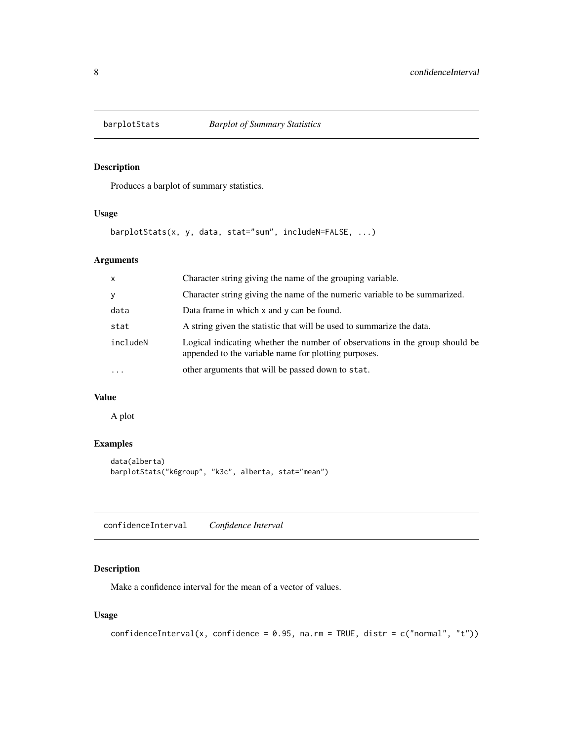<span id="page-7-0"></span>

Produces a barplot of summary statistics.

# Usage

barplotStats(x, y, data, stat="sum", includeN=FALSE, ...)

# Arguments

| $\mathsf{x}$ | Character string giving the name of the grouping variable.                                                                           |
|--------------|--------------------------------------------------------------------------------------------------------------------------------------|
| y            | Character string giving the name of the numeric variable to be summarized.                                                           |
| data         | Data frame in which x and y can be found.                                                                                            |
| stat         | A string given the statistic that will be used to summarize the data.                                                                |
| includeN     | Logical indicating whether the number of observations in the group should be<br>appended to the variable name for plotting purposes. |
| $\cdots$     | other arguments that will be passed down to stat.                                                                                    |

# Value

A plot

# Examples

```
data(alberta)
barplotStats("k6group", "k3c", alberta, stat="mean")
```
<span id="page-7-1"></span>confidenceInterval *Confidence Interval*

# Description

Make a confidence interval for the mean of a vector of values.

# Usage

```
confidenceInterval(x, confidence = 0.95, na.rm = TRUE, distr = c("normal", "t"))
```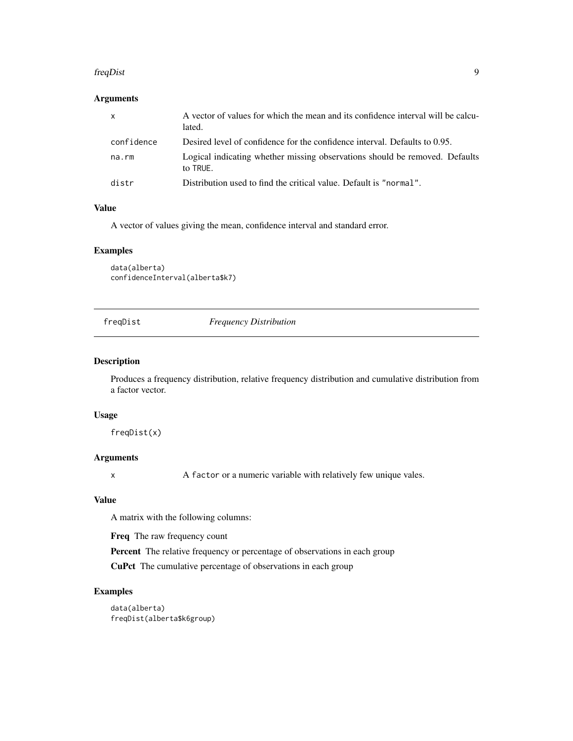#### <span id="page-8-0"></span>freqDist 9

# Arguments

| $\mathsf{x}$ | A vector of values for which the mean and its confidence interval will be calcu-<br>lated. |
|--------------|--------------------------------------------------------------------------------------------|
| confidence   | Desired level of confidence for the confidence interval. Defaults to 0.95.                 |
| na.rm        | Logical indicating whether missing observations should be removed. Defaults<br>to TRUE.    |
| distr        | Distribution used to find the critical value. Default is "normal".                         |

# Value

A vector of values giving the mean, confidence interval and standard error.

# Examples

data(alberta) confidenceInterval(alberta\$k7)

freqDist *Frequency Distribution*

# Description

Produces a frequency distribution, relative frequency distribution and cumulative distribution from a factor vector.

# Usage

freqDist(x)

# Arguments

x A factor or a numeric variable with relatively few unique vales.

# Value

A matrix with the following columns:

Freq The raw frequency count

Percent The relative frequency or percentage of observations in each group

CuPct The cumulative percentage of observations in each group

# Examples

data(alberta) freqDist(alberta\$k6group)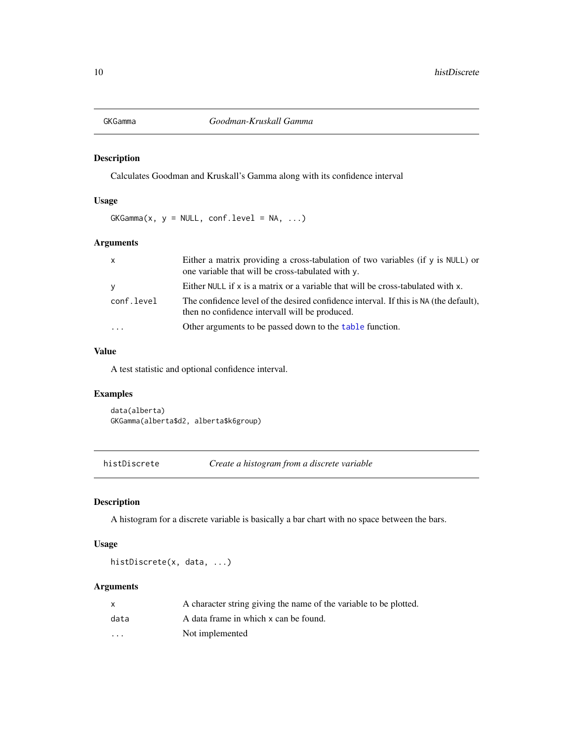<span id="page-9-0"></span>

Calculates Goodman and Kruskall's Gamma along with its confidence interval

# Usage

 $GKGamma(x, y = NULL, conf.level = NA, ...)$ 

# Arguments

| $\mathsf{x}$ | Either a matrix providing a cross-tabulation of two variables (if y is NULL) or<br>one variable that will be cross-tabulated with y.    |
|--------------|-----------------------------------------------------------------------------------------------------------------------------------------|
| <b>V</b>     | Either NULL if $x$ is a matrix or a variable that will be cross-tabulated with $x$ .                                                    |
| conf.level   | The confidence level of the desired confidence interval. If this is NA (the default),<br>then no confidence intervall will be produced. |
|              | Other arguments to be passed down to the table function.                                                                                |

# Value

A test statistic and optional confidence interval.

# Examples

data(alberta) GKGamma(alberta\$d2, alberta\$k6group)

histDiscrete *Create a histogram from a discrete variable*

# Description

A histogram for a discrete variable is basically a bar chart with no space between the bars.

#### Usage

```
histDiscrete(x, data, ...)
```
# Arguments

|                         | A character string giving the name of the variable to be plotted. |
|-------------------------|-------------------------------------------------------------------|
| data                    | A data frame in which x can be found.                             |
| $\cdot$ $\cdot$ $\cdot$ | Not implemented                                                   |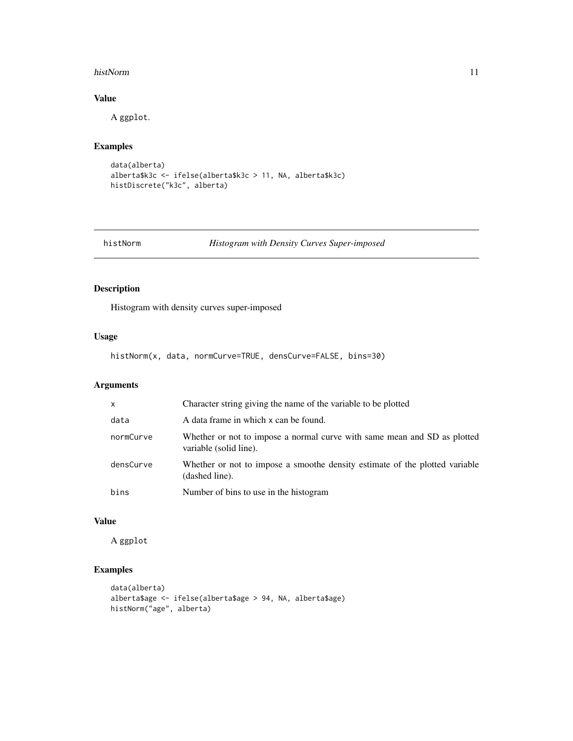#### <span id="page-10-0"></span>histNorm 11

# Value

A ggplot.

# Examples

```
data(alberta)
alberta$k3c <- ifelse(alberta$k3c > 11, NA, alberta$k3c)
histDiscrete("k3c", alberta)
```
histNorm *Histogram with Density Curves Super-imposed*

# Description

Histogram with density curves super-imposed

# Usage

histNorm(x, data, normCurve=TRUE, densCurve=FALSE, bins=30)

# Arguments

| $\mathsf{x}$ | Character string giving the name of the variable to be plotted                                     |
|--------------|----------------------------------------------------------------------------------------------------|
| data         | A data frame in which x can be found.                                                              |
| normCurve    | Whether or not to impose a normal curve with same mean and SD as plotted<br>variable (solid line). |
| densCurve    | Whether or not to impose a smoothe density estimate of the plotted variable<br>(dashed line).      |
| bins         | Number of bins to use in the histogram                                                             |

# Value

A ggplot

```
data(alberta)
alberta$age <- ifelse(alberta$age > 94, NA, alberta$age)
histNorm("age", alberta)
```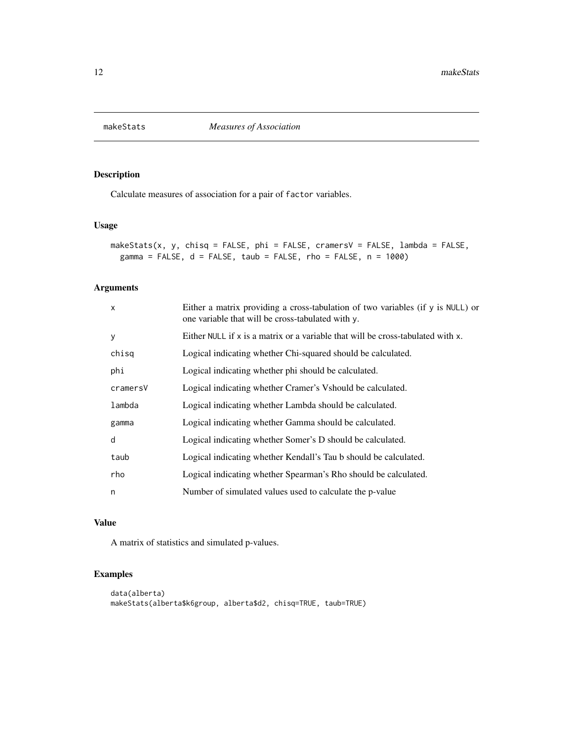<span id="page-11-0"></span>

Calculate measures of association for a pair of factor variables.

# Usage

```
makeStats(x, y, chisq = FALSE, phi = FALSE, cramersV = FALSE, lambda = FALSE,
 gamma = FALSE, d = FALSE, taub = FALSE, rho = FALSE, n = 1000)
```
# Arguments

| $\mathsf{x}$ | Either a matrix providing a cross-tabulation of two variables (if y is NULL) or<br>one variable that will be cross-tabulated with y. |
|--------------|--------------------------------------------------------------------------------------------------------------------------------------|
| y            | Either NULL if $x$ is a matrix or a variable that will be cross-tabulated with $x$ .                                                 |
| chisq        | Logical indicating whether Chi-squared should be calculated.                                                                         |
| phi          | Logical indicating whether phi should be calculated.                                                                                 |
| cramersV     | Logical indicating whether Cramer's Vshould be calculated.                                                                           |
| lambda       | Logical indicating whether Lambda should be calculated.                                                                              |
| gamma        | Logical indicating whether Gamma should be calculated.                                                                               |
| d            | Logical indicating whether Somer's D should be calculated.                                                                           |
| taub         | Logical indicating whether Kendall's Tau b should be calculated.                                                                     |
| rho          | Logical indicating whether Spearman's Rho should be calculated.                                                                      |
| n            | Number of simulated values used to calculate the p-value                                                                             |

# Value

A matrix of statistics and simulated p-values.

```
data(alberta)
makeStats(alberta$k6group, alberta$d2, chisq=TRUE, taub=TRUE)
```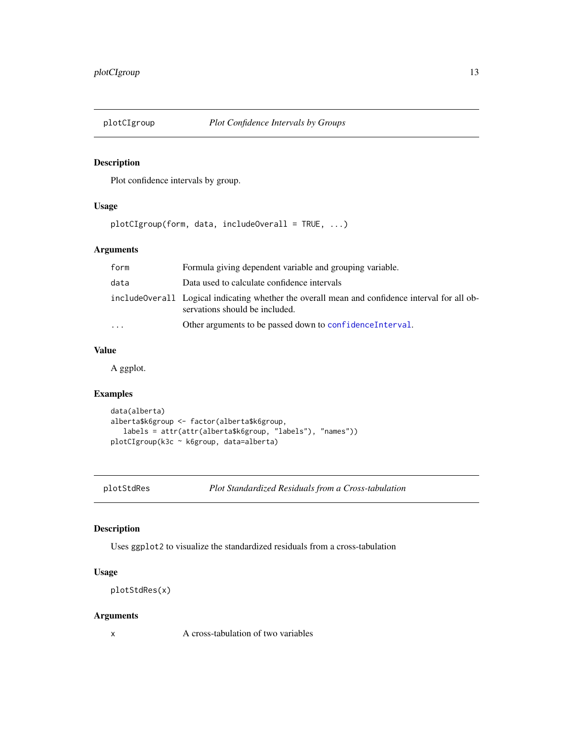<span id="page-12-0"></span>

Plot confidence intervals by group.

# Usage

plotCIgroup(form, data, includeOverall = TRUE, ...)

# Arguments

| form | Formula giving dependent variable and grouping variable.                                                                          |
|------|-----------------------------------------------------------------------------------------------------------------------------------|
| data | Data used to calculate confidence intervals                                                                                       |
|      | include Overall Logical indicating whether the overall mean and confidence interval for all ob-<br>servations should be included. |
| .    | Other arguments to be passed down to confidence Interval.                                                                         |
|      |                                                                                                                                   |

# Value

A ggplot.

# Examples

```
data(alberta)
alberta$k6group <- factor(alberta$k6group,
   labels = attr(attr(alberta$k6group, "labels"), "names"))
plotCIgroup(k3c ~ k6group, data=alberta)
```
plotStdRes *Plot Standardized Residuals from a Cross-tabulation*

# Description

Uses ggplot2 to visualize the standardized residuals from a cross-tabulation

# Usage

```
plotStdRes(x)
```
# Arguments

x A cross-tabulation of two variables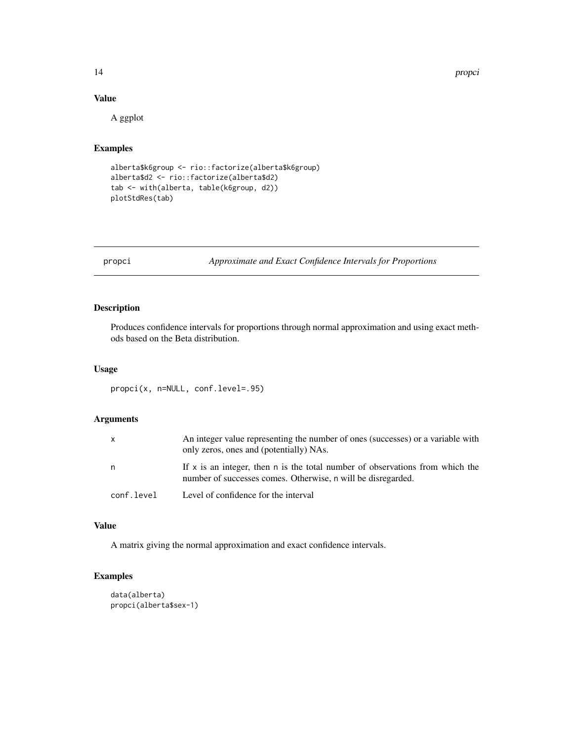14 property and the property of the state of the state of the property of the property of the state of the state of the state of the state of the state of the state of the state of the state of the state of the state of th

# Value

A ggplot

# Examples

```
alberta$k6group <- rio::factorize(alberta$k6group)
alberta$d2 <- rio::factorize(alberta$d2)
tab <- with(alberta, table(k6group, d2))
plotStdRes(tab)
```
propci *Approximate and Exact Confidence Intervals for Proportions*

# Description

Produces confidence intervals for proportions through normal approximation and using exact methods based on the Beta distribution.

# Usage

propci(x, n=NULL, conf.level=.95)

# Arguments

| X          | An integer value representing the number of ones (successes) or a variable with<br>only zeros, ones and (potentially) NAs.                      |
|------------|-------------------------------------------------------------------------------------------------------------------------------------------------|
| n          | If $x$ is an integer, then n is the total number of observations from which the<br>number of successes comes. Otherwise, n will be disregarded. |
| conf.level | Level of confidence for the interval                                                                                                            |

# Value

A matrix giving the normal approximation and exact confidence intervals.

```
data(alberta)
propci(alberta$sex-1)
```
<span id="page-13-0"></span>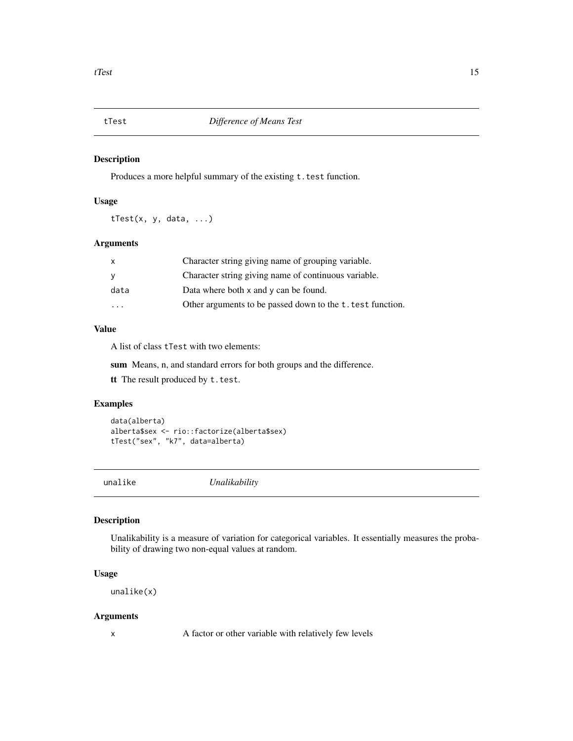<span id="page-14-0"></span>

Produces a more helpful summary of the existing t.test function.

# Usage

tTest(x, y, data, ...)

# Arguments

| x                       | Character string giving name of grouping variable.         |
|-------------------------|------------------------------------------------------------|
| у                       | Character string giving name of continuous variable.       |
| data                    | Data where both $x$ and $y$ can be found.                  |
| $\cdot$ $\cdot$ $\cdot$ | Other arguments to be passed down to the t. test function. |

# Value

A list of class tTest with two elements:

sum Means, n, and standard errors for both groups and the difference.

tt The result produced by t.test.

# Examples

```
data(alberta)
alberta$sex <- rio::factorize(alberta$sex)
tTest("sex", "k7", data=alberta)
```
unalike *Unalikability*

# Description

Unalikability is a measure of variation for categorical variables. It essentially measures the probability of drawing two non-equal values at random.

# Usage

unalike(x)

# Arguments

x A factor or other variable with relatively few levels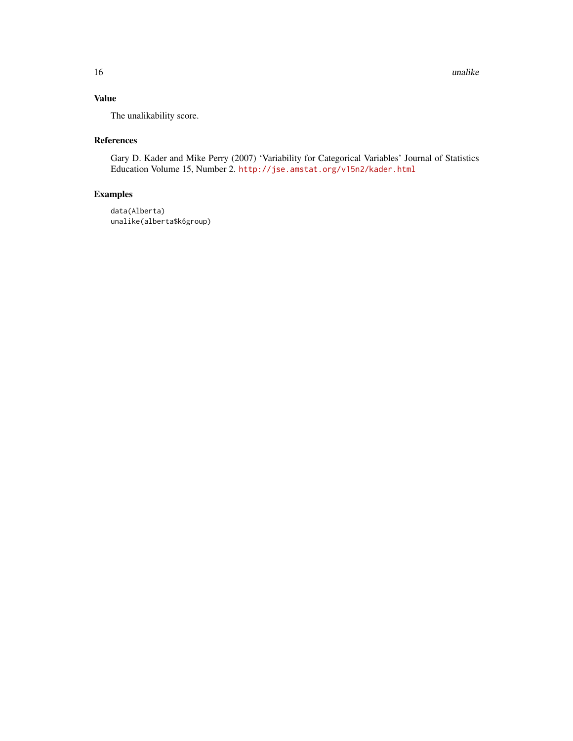# Value

The unalikability score.

# References

Gary D. Kader and Mike Perry (2007) 'Variability for Categorical Variables' Journal of Statistics Education Volume 15, Number 2. <http://jse.amstat.org/v15n2/kader.html>

```
data(Alberta)
unalike(alberta$k6group)
```